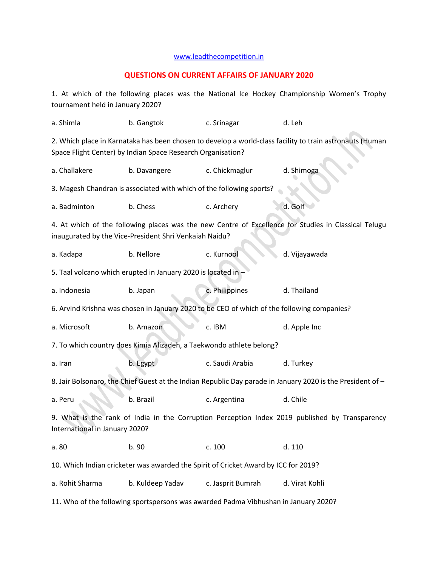## [www.leadthecompetition.in](http://www.leadthecompetition.in/)

## **QUESTIONS ON CURRENT AFFAIRS OF JANUARY 2020**

1. At which of the following places was the National Ice Hockey Championship Women's Trophy tournament held in January 2020?

| a. Shimla                                                                                                                                                               | b. Gangtok       | c. Srinagar       | d. Leh         |  |  |  |  |  |
|-------------------------------------------------------------------------------------------------------------------------------------------------------------------------|------------------|-------------------|----------------|--|--|--|--|--|
| 2. Which place in Karnataka has been chosen to develop a world-class facility to train astronauts (Human<br>Space Flight Center) by Indian Space Research Organisation? |                  |                   |                |  |  |  |  |  |
| a. Challakere                                                                                                                                                           | b. Davangere     | c. Chickmaglur    | d. Shimoga     |  |  |  |  |  |
| 3. Magesh Chandran is associated with which of the following sports?                                                                                                    |                  |                   |                |  |  |  |  |  |
| a. Badminton                                                                                                                                                            | b. Chess         | c. Archery        | d. Golf        |  |  |  |  |  |
| 4. At which of the following places was the new Centre of Excellence for Studies in Classical Telugu<br>inaugurated by the Vice-President Shri Venkaiah Naidu?          |                  |                   |                |  |  |  |  |  |
| a. Kadapa                                                                                                                                                               | b. Nellore       | c. Kurnool        | d. Vijayawada  |  |  |  |  |  |
| 5. Taal volcano which erupted in January 2020 is located in -                                                                                                           |                  |                   |                |  |  |  |  |  |
| a. Indonesia                                                                                                                                                            | b. Japan         | c. Philippines    | d. Thailand    |  |  |  |  |  |
| 6. Arvind Krishna was chosen in January 2020 to be CEO of which of the following companies?                                                                             |                  |                   |                |  |  |  |  |  |
| a. Microsoft                                                                                                                                                            | b. Amazon        | c. IBM            | d. Apple Inc   |  |  |  |  |  |
| 7. To which country does Kimia Alizadeh, a Taekwondo athlete belong?                                                                                                    |                  |                   |                |  |  |  |  |  |
| a. Iran                                                                                                                                                                 | b. Egypt         | c. Saudi Arabia   | d. Turkey      |  |  |  |  |  |
| 8. Jair Bolsonaro, the Chief Guest at the Indian Republic Day parade in January 2020 is the President of -                                                              |                  |                   |                |  |  |  |  |  |
| a. Peru                                                                                                                                                                 | b. Brazil        | c. Argentina      | d. Chile       |  |  |  |  |  |
| 9. What is the rank of India in the Corruption Perception Index 2019 published by Transparency<br>International in January 2020?                                        |                  |                   |                |  |  |  |  |  |
| a. 80                                                                                                                                                                   | b. 90            | c. 100            | d. 110         |  |  |  |  |  |
| 10. Which Indian cricketer was awarded the Spirit of Cricket Award by ICC for 2019?                                                                                     |                  |                   |                |  |  |  |  |  |
| a. Rohit Sharma                                                                                                                                                         | b. Kuldeep Yadav | c. Jasprit Bumrah | d. Virat Kohli |  |  |  |  |  |
| 11. Who of the following sportspersons was awarded Padma Vibhushan in January 2020?                                                                                     |                  |                   |                |  |  |  |  |  |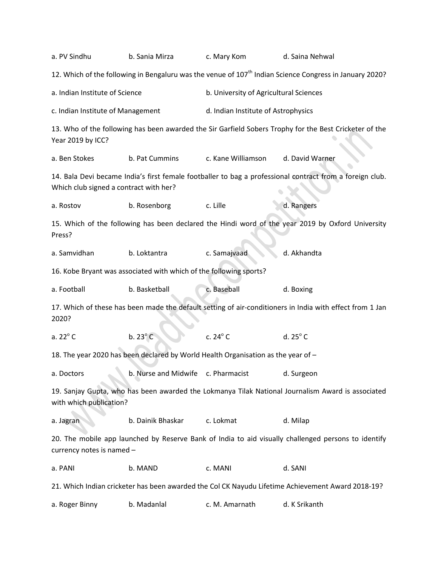| a. PV Sindhu                                                                                                | b. Sania Mirza                                                                                                                                     | c. Mary Kom                                                                                                                                     | d. Saina Nehwal                                                                                                     |  |  |  |  |
|-------------------------------------------------------------------------------------------------------------|----------------------------------------------------------------------------------------------------------------------------------------------------|-------------------------------------------------------------------------------------------------------------------------------------------------|---------------------------------------------------------------------------------------------------------------------|--|--|--|--|
|                                                                                                             |                                                                                                                                                    |                                                                                                                                                 | 12. Which of the following in Bengaluru was the venue of 107 <sup>th</sup> Indian Science Congress in January 2020? |  |  |  |  |
|                                                                                                             | a. Indian Institute of Science                                                                                                                     |                                                                                                                                                 | b. University of Agricultural Sciences                                                                              |  |  |  |  |
|                                                                                                             | c. Indian Institute of Management                                                                                                                  |                                                                                                                                                 | d. Indian Institute of Astrophysics                                                                                 |  |  |  |  |
| Year 2019 by ICC?                                                                                           |                                                                                                                                                    | 13. Who of the following has been awarded the Sir Garfield Sobers Trophy for the Best Cricketer of the<br>c. Kane Williamson<br>d. David Warner |                                                                                                                     |  |  |  |  |
| a. Ben Stokes                                                                                               | b. Pat Cummins                                                                                                                                     |                                                                                                                                                 |                                                                                                                     |  |  |  |  |
|                                                                                                             | 14. Bala Devi became India's first female footballer to bag a professional contract from a foreign club.<br>Which club signed a contract with her? |                                                                                                                                                 |                                                                                                                     |  |  |  |  |
| a. Rostov                                                                                                   | b. Rosenborg                                                                                                                                       | c. Lille                                                                                                                                        | d. Rangers                                                                                                          |  |  |  |  |
| 15. Which of the following has been declared the Hindi word of the year 2019 by Oxford University<br>Press? |                                                                                                                                                    |                                                                                                                                                 |                                                                                                                     |  |  |  |  |
| a. Samvidhan                                                                                                | b. Loktantra                                                                                                                                       | c. Samajvaad                                                                                                                                    | d. Akhandta                                                                                                         |  |  |  |  |
| 16. Kobe Bryant was associated with which of the following sports?                                          |                                                                                                                                                    |                                                                                                                                                 |                                                                                                                     |  |  |  |  |
| a. Football                                                                                                 | b. Basketball                                                                                                                                      | c. Baseball                                                                                                                                     | d. Boxing                                                                                                           |  |  |  |  |
| 2020?                                                                                                       | 17. Which of these has been made the default setting of air-conditioners in India with effect from 1 Jan                                           |                                                                                                                                                 |                                                                                                                     |  |  |  |  |
| a. 22° C                                                                                                    | $b.23^{\circ}$ C                                                                                                                                   | c. $24^\circ$ C                                                                                                                                 | d. $25^{\circ}$ C                                                                                                   |  |  |  |  |
| 18. The year 2020 has been declared by World Health Organisation as the year of -                           |                                                                                                                                                    |                                                                                                                                                 |                                                                                                                     |  |  |  |  |
| a. Doctors                                                                                                  | b. Nurse and Midwife c. Pharmacist                                                                                                                 |                                                                                                                                                 | d. Surgeon                                                                                                          |  |  |  |  |
| with which publication?                                                                                     |                                                                                                                                                    |                                                                                                                                                 | 19. Sanjay Gupta, who has been awarded the Lokmanya Tilak National Journalism Award is associated                   |  |  |  |  |
| a. Jagran                                                                                                   | b. Dainik Bhaskar                                                                                                                                  | c. Lokmat                                                                                                                                       | d. Milap                                                                                                            |  |  |  |  |
| currency notes is named -                                                                                   | 20. The mobile app launched by Reserve Bank of India to aid visually challenged persons to identify                                                |                                                                                                                                                 |                                                                                                                     |  |  |  |  |
| a. PANI                                                                                                     | b. MAND                                                                                                                                            | c. MANI                                                                                                                                         | d. SANI                                                                                                             |  |  |  |  |
| 21. Which Indian cricketer has been awarded the Col CK Nayudu Lifetime Achievement Award 2018-19?           |                                                                                                                                                    |                                                                                                                                                 |                                                                                                                     |  |  |  |  |
| a. Roger Binny                                                                                              | b. Madanlal                                                                                                                                        | c. M. Amarnath                                                                                                                                  | d. K Srikanth                                                                                                       |  |  |  |  |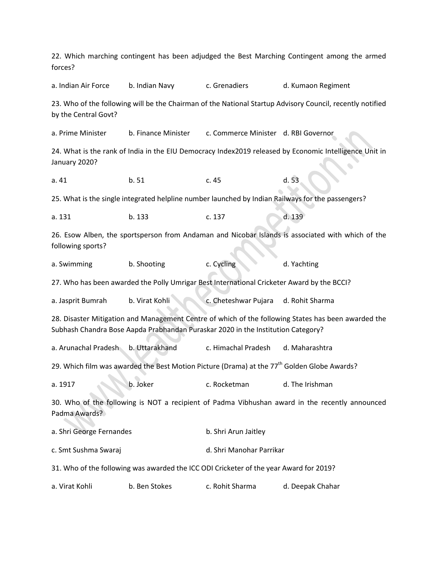22. Which marching contingent has been adjudged the Best Marching Contingent among the armed forces? a. Indian Air Force b. Indian Navy c. Grenadiers d. Kumaon Regiment 23. Who of the following will be the Chairman of the National Startup Advisory Council, recently notified by the Central Govt? a. Prime Minister b. Finance Minister c. Commerce Minister d. RBI Governor 24. What is the rank of India in the EIU Democracy Index2019 released by Economic Intelligence Unit in January 2020? a. 41 b. 51 c. 45 d. 53 25. What is the single integrated helpline number launched by Indian Railways for the passengers? a. 131 b. 133 c. 137 d. 139 26. Esow Alben, the sportsperson from Andaman and Nicobar Islands is associated with which of the following sports? a. Swimming b. Shooting c. Cycling d. Yachting 27. Who has been awarded the Polly Umrigar Best International Cricketer Award by the BCCI? a. Jasprit Bumrah b. Virat Kohli c. Cheteshwar Pujara d. Rohit Sharma 28. Disaster Mitigation and Management Centre of which of the following States has been awarded the Subhash Chandra Bose Aapda Prabhandan Puraskar 2020 in the Institution Category? a. Arunachal Pradesh b. Uttarakhand c. Himachal Pradesh d. Maharashtra 29. Which film was awarded the Best Motion Picture (Drama) at the 77<sup>th</sup> Golden Globe Awards? a. 1917 **b.** Joker **c. Rocketman** d. The Irishman 30. Who of the following is NOT a recipient of Padma Vibhushan award in the recently announced Padma Awards? a. Shri George Fernandes b. Shri Arun Jaitley c. Smt Sushma Swaraj d. Shri Manohar Parrikar 31. Who of the following was awarded the ICC ODI Cricketer of the year Award for 2019? a. Virat Kohli b. Ben Stokes c. Rohit Sharma d. Deepak Chahar